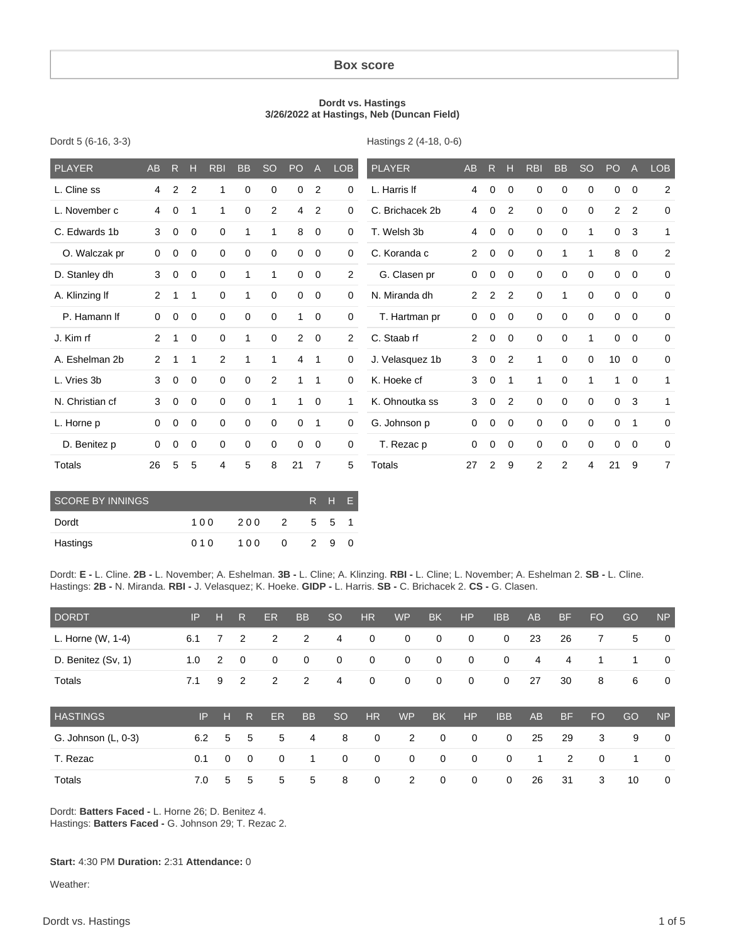#### **Box score**

#### **Dordt vs. Hastings 3/26/2022 at Hastings, Neb (Duncan Field)**

| Dordt 5 (6-16, 3-3) |  |  |
|---------------------|--|--|
|---------------------|--|--|

Hastings 2 (4-18, 0-6)

| <b>PLAYER</b>   | AB             | $\mathsf{R}$   | н           | <b>RBI</b>   | <b>BB</b>    | <b>SO</b>    | PO           | $\overline{A}$ | <b>LOB</b>     | <b>PLAYER</b>   | AB             | R              | н              | <b>RBI</b>     | <b>BB</b>   | <b>SO</b>   | PO             | A           | <b>LOB</b>     |
|-----------------|----------------|----------------|-------------|--------------|--------------|--------------|--------------|----------------|----------------|-----------------|----------------|----------------|----------------|----------------|-------------|-------------|----------------|-------------|----------------|
| L. Cline ss     | 4              | $\overline{2}$ | 2           | 1            | 0            | 0            | 0            | 2              | 0              | L. Harris If    | 4              | 0              | 0              | $\mathbf 0$    | $\mathbf 0$ | 0           | 0              | 0           | 2              |
| L. November c   | 4              | $\mathbf 0$    | 1           | $\mathbf{1}$ | $\mathbf 0$  | 2            | 4            | $\overline{2}$ | 0              | C. Brichacek 2b | 4              | $\mathbf 0$    | $\overline{2}$ | $\mathbf 0$    | $\mathbf 0$ | 0           | $\overline{2}$ | 2           | $\mathbf 0$    |
| C. Edwards 1b   | 3              | 0              | 0           | $\mathbf 0$  | 1            | 1            | 8            | $\mathbf 0$    | 0              | T. Welsh 3b     | 4              | 0              | 0              | $\mathbf 0$    | $\mathbf 0$ | 1           | $\mathbf 0$    | 3           | $\mathbf{1}$   |
| O. Walczak pr   | $\mathbf 0$    | 0              | 0           | $\mathbf 0$  | $\mathbf 0$  | 0            | 0            | $\mathbf 0$    | 0              | C. Koranda c    | $\overline{2}$ | 0              | 0              | $\mathbf 0$    | 1           |             | 8              | 0           | $\overline{2}$ |
| D. Stanley dh   | 3              | 0              | 0           | $\mathbf 0$  | $\mathbf{1}$ | $\mathbf{1}$ | 0            | $\mathbf 0$    | $\overline{2}$ | G. Clasen pr    | 0              | $\mathbf 0$    | $\mathbf 0$    | $\mathbf 0$    | $\mathbf 0$ | $\mathbf 0$ | $\mathbf 0$    | $\mathbf 0$ | $\mathbf 0$    |
| A. Klinzing If  | 2              | 1              | 1           | 0            | 1            | $\Omega$     | 0            | $\mathbf 0$    | 0              | N. Miranda dh   | $\overline{2}$ | $\overline{2}$ | 2              | $\mathbf 0$    | 1           | $\Omega$    | 0              | $\mathbf 0$ | 0              |
| P. Hamann If    | $\mathbf 0$    | 0              | 0           | $\mathbf 0$  | $\mathbf 0$  | 0            | 1            | $\mathbf 0$    | 0              | T. Hartman pr   | 0              | 0              | 0              | $\mathbf 0$    | $\mathbf 0$ | 0           | 0              | $\mathbf 0$ | $\mathbf 0$    |
| J. Kim rf       | $\overline{2}$ | $\mathbf{1}$   | $\mathbf 0$ | $\mathbf 0$  | 1            | $\mathbf 0$  | $\mathbf{2}$ | $\mathbf 0$    | $\overline{2}$ | C. Staab rf     | $\overline{2}$ | 0              | $\mathbf 0$    | $\mathbf 0$    | $\mathbf 0$ | 1           | 0              | $\mathbf 0$ | 0              |
| A. Eshelman 2b  | $\overline{2}$ | 1              | 1           | 2            | 1            |              | 4            | 1              | 0              | J. Velasquez 1b | 3              | 0              | 2              | 1              | $\Omega$    | $\Omega$    | 10             | $\mathbf 0$ | 0              |
| L. Vries 3b     | 3              | $\mathbf 0$    | $\mathbf 0$ | $\mathbf 0$  | $\mathbf 0$  | 2            | 1.           | 1              | 0              | K. Hoeke cf     | 3              | $\mathbf 0$    | 1              | 1              | $\mathbf 0$ |             | $\mathbf{1}$   | 0           | $\mathbf{1}$   |
| N. Christian cf | 3              | 0              | $\mathbf 0$ | $\mathbf 0$  | $\mathbf 0$  | 1            | $\mathbf{1}$ | $\overline{0}$ | 1              | K. Ohnoutka ss  | 3              | $\mathbf 0$    | 2              | $\mathbf 0$    | $\mathbf 0$ | $\Omega$    | $\mathbf 0$    | 3           | $\mathbf{1}$   |
| L. Horne p      | $\Omega$       | 0              | 0           | 0            | 0            | $\Omega$     | $\mathbf 0$  | 1              | 0              | G. Johnson p    | 0              | 0              | 0              | $\mathbf 0$    | $\mathbf 0$ | $\Omega$    | 0              | $\mathbf 1$ | 0              |
| D. Benitez p    | 0              | 0              | 0           | 0            | 0            | 0            | 0            | $\mathbf 0$    | 0              | T. Rezac p      | 0              | 0              | 0              | $\mathbf 0$    | $\mathbf 0$ | $\Omega$    | 0              | $\mathbf 0$ | 0              |
| Totals          | 26             | 5              | 5           | 4            | 5            | 8            | 21           | $\overline{7}$ | 5              | <b>Totals</b>   | 27             | $\overline{2}$ | 9              | $\overline{c}$ | 2           | 4           | 21             | 9           | $\overline{7}$ |

| <b>SCORE BY INNINGS</b> |     |     |                |               | IRHE' |  |
|-------------------------|-----|-----|----------------|---------------|-------|--|
| Dordt                   | 100 | 200 | $\overline{2}$ |               | 5 5 1 |  |
| Hastings                | 010 | 100 | $\Omega$       | $\mathcal{P}$ | 9     |  |

Dordt: **E -** L. Cline. **2B -** L. November; A. Eshelman. **3B -** L. Cline; A. Klinzing. **RBI -** L. Cline; L. November; A. Eshelman 2. **SB -** L. Cline. Hastings: **2B -** N. Miranda. **RBI -** J. Velasquez; K. Hoeke. **GIDP -** L. Harris. **SB -** C. Brichacek 2. **CS -** G. Clasen.

| <b>DORDT</b>        | IP  | н | R              | <b>ER</b>   | <b>BB</b> | <b>SO</b>     | <b>HR</b>   | <b>WP</b>    | <b>BK</b>   | HP          | <b>IBB</b>   | <b>AB</b> | <b>BF</b> | F <sub>O</sub> | GO | <b>NP</b>      |
|---------------------|-----|---|----------------|-------------|-----------|---------------|-------------|--------------|-------------|-------------|--------------|-----------|-----------|----------------|----|----------------|
| L. Horne (W, 1-4)   | 6.1 | 7 | $\overline{2}$ | 2           | 2         | 4             | 0           | $\mathbf 0$  | 0           | 0           | $\mathbf{0}$ | 23        | 26        | 7              | 5  | $\mathbf{0}$   |
| D. Benitez (Sv, 1)  | 1.0 | 2 | $\mathbf 0$    | 0           | 0         | 0             | $\mathbf 0$ | 0            | $\mathbf 0$ | 0           | $\mathbf 0$  | 4         | 4         | 1              | 1  | $\overline{0}$ |
| Totals              | 7.1 | 9 | 2              | 2           | 2         | 4             | 0           | $\mathbf{0}$ | 0           | 0           | $\mathbf 0$  | 27        | 30        | 8              | 6  | $\mathbf{0}$   |
| <b>HASTINGS</b>     | IP  | н | $\mathsf{R}$   | <b>ER</b>   | <b>BB</b> | <sub>SO</sub> | <b>HR</b>   | <b>WP</b>    | <b>BK</b>   | <b>HP</b>   | <b>IBB</b>   | <b>AB</b> | <b>BF</b> | <b>FO</b>      | GO | <b>NP</b>      |
| G. Johnson (L, 0-3) | 6.2 | 5 | 5              | 5           | 4         | 8             | 0           | 2            | $\mathbf 0$ | $\mathbf 0$ | $\mathbf 0$  | 25        | 29        | 3              | 9  | $\Omega$       |
| T. Rezac            | 0.1 | 0 | $\overline{0}$ | $\mathbf 0$ | 1         | $\mathbf 0$   | $\mathbf 0$ | $\mathbf 0$  | $\mathbf 0$ | $\mathbf 0$ | $\mathbf 0$  | 1         | 2         | $\mathbf 0$    | 1  | $\mathbf{0}$   |
| Totals              | 7.0 | 5 | 5              | 5           | 5         | 8             | 0           | 2            | $\mathbf 0$ | $\mathbf 0$ | 0            | 26        | 31        | 3              | 10 | $\mathbf{0}$   |

Dordt: **Batters Faced -** L. Horne 26; D. Benitez 4. Hastings: **Batters Faced -** G. Johnson 29; T. Rezac 2.

#### **Start:** 4:30 PM **Duration:** 2:31 **Attendance:** 0

Weather: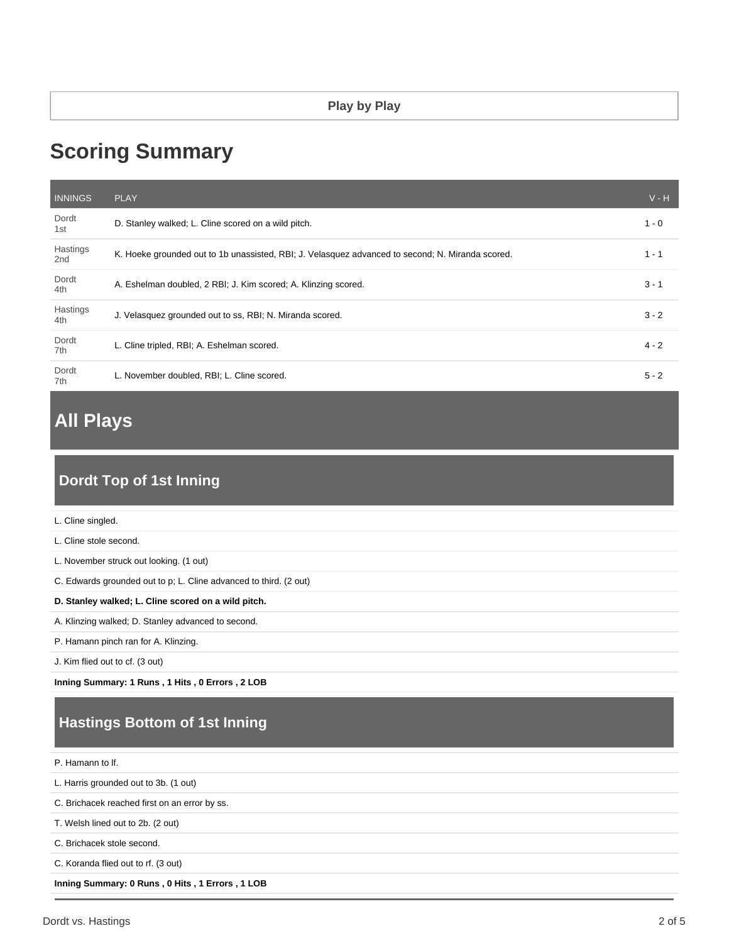# **Scoring Summary**

| <b>INNINGS</b>              | <b>PLAY</b>                                                                                      | $V - H$ |
|-----------------------------|--------------------------------------------------------------------------------------------------|---------|
| Dordt<br>1st                | D. Stanley walked; L. Cline scored on a wild pitch.                                              | $1 - 0$ |
| Hastings<br>2 <sub>nd</sub> | K. Hoeke grounded out to 1b unassisted, RBI; J. Velasquez advanced to second; N. Miranda scored. | $1 - 1$ |
| Dordt<br>4th                | A. Eshelman doubled, 2 RBI; J. Kim scored; A. Klinzing scored.                                   | $3 - 1$ |
| Hastings<br>4th             | J. Velasquez grounded out to ss, RBI; N. Miranda scored.                                         | $3 - 2$ |
| Dordt<br>7th                | L. Cline tripled, RBI; A. Eshelman scored.                                                       | $4 - 2$ |
| Dordt<br>7th                | L. November doubled, RBI; L. Cline scored.                                                       | $5 - 2$ |

## **All Plays**

## **Dordt Top of 1st Inning**

L. Cline stole second.

L. November struck out looking. (1 out)

C. Edwards grounded out to p; L. Cline advanced to third. (2 out)

#### **D. Stanley walked; L. Cline scored on a wild pitch.**

A. Klinzing walked; D. Stanley advanced to second.

P. Hamann pinch ran for A. Klinzing.

J. Kim flied out to cf. (3 out)

**Inning Summary: 1 Runs , 1 Hits , 0 Errors , 2 LOB**

## **Hastings Bottom of 1st Inning**

P. Hamann to lf.

L. Harris grounded out to 3b. (1 out)

C. Brichacek reached first on an error by ss.

T. Welsh lined out to 2b. (2 out)

C. Brichacek stole second.

C. Koranda flied out to rf. (3 out)

**Inning Summary: 0 Runs , 0 Hits , 1 Errors , 1 LOB**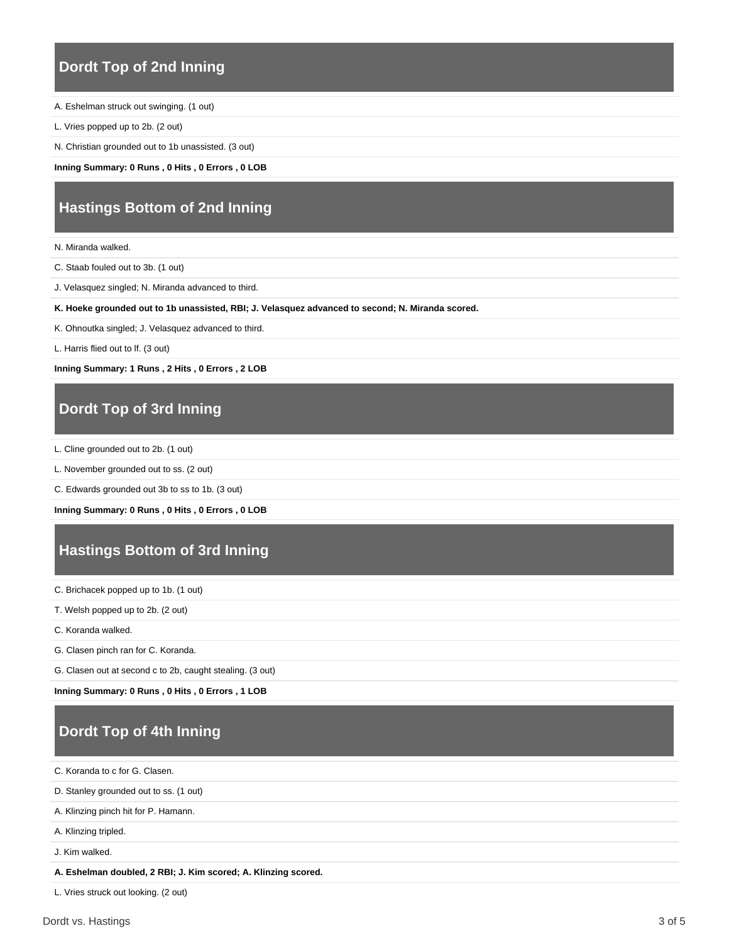### **Dordt Top of 2nd Inning**

- A. Eshelman struck out swinging. (1 out)
- L. Vries popped up to 2b. (2 out)
- N. Christian grounded out to 1b unassisted. (3 out)

**Inning Summary: 0 Runs , 0 Hits , 0 Errors , 0 LOB**

### **Hastings Bottom of 2nd Inning**

- N. Miranda walked.
- C. Staab fouled out to 3b. (1 out)
- J. Velasquez singled; N. Miranda advanced to third.
- **K. Hoeke grounded out to 1b unassisted, RBI; J. Velasquez advanced to second; N. Miranda scored.**
- K. Ohnoutka singled; J. Velasquez advanced to third.
- L. Harris flied out to lf. (3 out)

**Inning Summary: 1 Runs , 2 Hits , 0 Errors , 2 LOB**

### **Dordt Top of 3rd Inning**

- L. Cline grounded out to 2b. (1 out)
- L. November grounded out to ss. (2 out)
- C. Edwards grounded out 3b to ss to 1b. (3 out)

**Inning Summary: 0 Runs , 0 Hits , 0 Errors , 0 LOB**

### **Hastings Bottom of 3rd Inning**

- C. Brichacek popped up to 1b. (1 out)
- T. Welsh popped up to 2b. (2 out)
- C. Koranda walked.
- G. Clasen pinch ran for C. Koranda.

G. Clasen out at second c to 2b, caught stealing. (3 out)

**Inning Summary: 0 Runs , 0 Hits , 0 Errors , 1 LOB**

## **Dordt Top of 4th Inning**

C. Koranda to c for G. Clasen.

D. Stanley grounded out to ss. (1 out)

A. Klinzing pinch hit for P. Hamann.

A. Klinzing tripled.

J. Kim walked.

**A. Eshelman doubled, 2 RBI; J. Kim scored; A. Klinzing scored.**

L. Vries struck out looking. (2 out)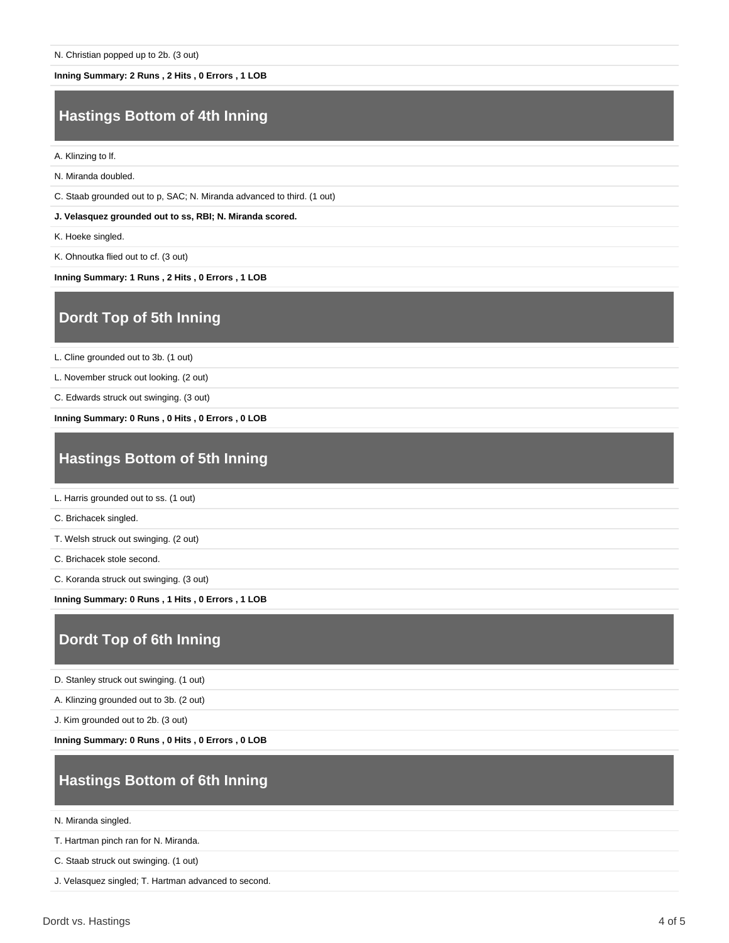#### **Inning Summary: 2 Runs , 2 Hits , 0 Errors , 1 LOB**

### **Hastings Bottom of 4th Inning**

A. Klinzing to lf.

N. Miranda doubled.

C. Staab grounded out to p, SAC; N. Miranda advanced to third. (1 out)

**J. Velasquez grounded out to ss, RBI; N. Miranda scored.**

K. Hoeke singled.

K. Ohnoutka flied out to cf. (3 out)

**Inning Summary: 1 Runs , 2 Hits , 0 Errors , 1 LOB**

### **Dordt Top of 5th Inning**

L. Cline grounded out to 3b. (1 out)

L. November struck out looking. (2 out)

C. Edwards struck out swinging. (3 out)

**Inning Summary: 0 Runs , 0 Hits , 0 Errors , 0 LOB**

### **Hastings Bottom of 5th Inning**

L. Harris grounded out to ss. (1 out)

C. Brichacek singled.

T. Welsh struck out swinging. (2 out)

C. Brichacek stole second.

C. Koranda struck out swinging. (3 out)

**Inning Summary: 0 Runs , 1 Hits , 0 Errors , 1 LOB**

#### **Dordt Top of 6th Inning**

D. Stanley struck out swinging. (1 out)

A. Klinzing grounded out to 3b. (2 out)

J. Kim grounded out to 2b. (3 out)

**Inning Summary: 0 Runs , 0 Hits , 0 Errors , 0 LOB**

### **Hastings Bottom of 6th Inning**

N. Miranda singled.

T. Hartman pinch ran for N. Miranda.

C. Staab struck out swinging. (1 out)

J. Velasquez singled; T. Hartman advanced to second.